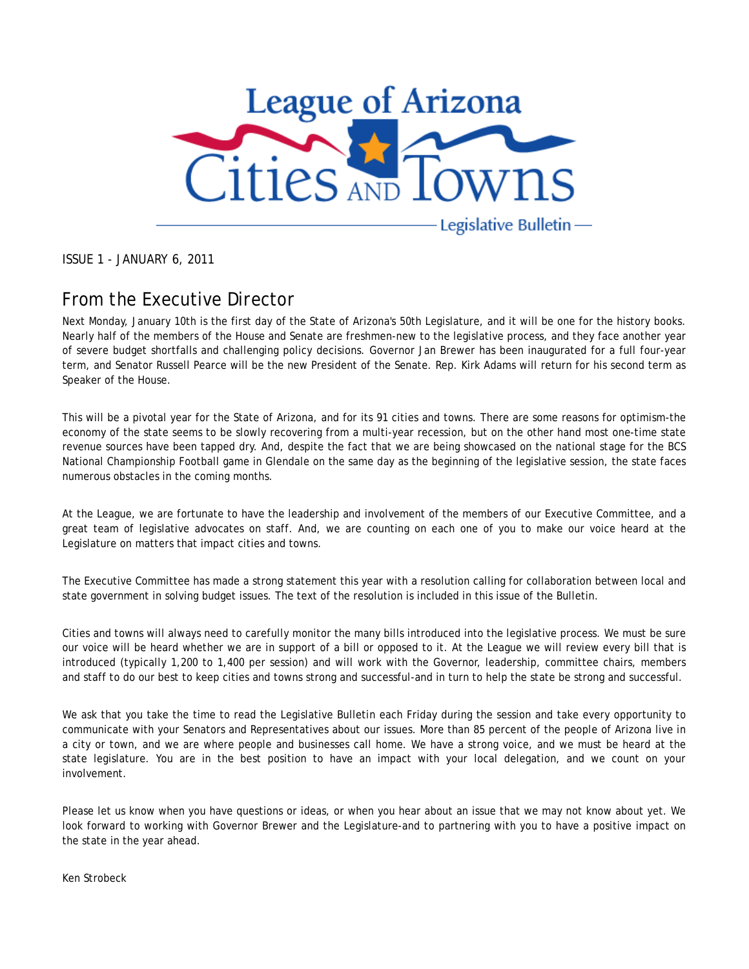

ISSUE 1 - JANUARY 6, 2011

### From the Executive Director

Next Monday, January 10th is the first day of the State of Arizona's 50th Legislature, and it will be one for the history books. Nearly half of the members of the House and Senate are freshmen-new to the legislative process, and they face another year of severe budget shortfalls and challenging policy decisions. Governor Jan Brewer has been inaugurated for a full four-year term, and Senator Russell Pearce will be the new President of the Senate. Rep. Kirk Adams will return for his second term as Speaker of the House.

This will be a pivotal year for the State of Arizona, and for its 91 cities and towns. There are some reasons for optimism-the economy of the state seems to be slowly recovering from a multi-year recession, but on the other hand most one-time state revenue sources have been tapped dry. And, despite the fact that we are being showcased on the national stage for the BCS National Championship Football game in Glendale on the same day as the beginning of the legislative session, the state faces numerous obstacles in the coming months.

At the League, we are fortunate to have the leadership and involvement of the members of our Executive Committee, and a great team of legislative advocates on staff. And, we are counting on each one of you to make our voice heard at the Legislature on matters that impact cities and towns.

The Executive Committee has made a strong statement this year with a resolution calling for collaboration between local and state government in solving budget issues. The text of the resolution is included in this issue of the Bulletin.

Cities and towns will always need to carefully monitor the many bills introduced into the legislative process. We must be sure our voice will be heard whether we are in support of a bill or opposed to it. At the League we will review every bill that is introduced (typically 1,200 to 1,400 per session) and will work with the Governor, leadership, committee chairs, members and staff to do our best to keep cities and towns strong and successful-and in turn to help the state be strong and successful.

We ask that you take the time to read the Legislative Bulletin each Friday during the session and take every opportunity to communicate with your Senators and Representatives about our issues. More than 85 percent of the people of Arizona live in a city or town, and we are where people and businesses call home. We have a strong voice, and we must be heard at the state legislature. You are in the best position to have an impact with your local delegation, and we count on your involvement.

Please let us know when you have questions or ideas, or when you hear about an issue that we may not know about yet. We look forward to working with Governor Brewer and the Legislature-and to partnering with you to have a positive impact on the state in the year ahead.

Ken Strobeck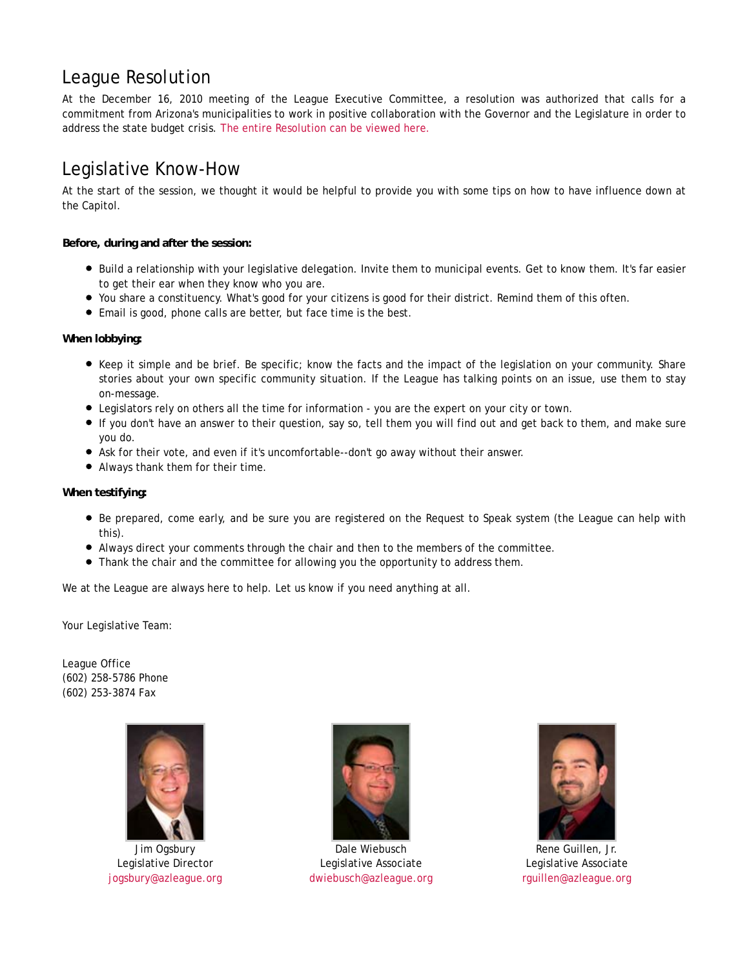### League Resolution

At the December 16, 2010 meeting of the League Executive Committee, a resolution was authorized that calls for a commitment from Arizona's municipalities to work in positive collaboration with the Governor and the Legislature in order to address the state budget crisis. The entire Resolution can be viewed here.

## Legislative Know-How

At the start of the session, we thought it would be helpful to provide you with some tips on how to have influence down at the Capitol.

**Before, during and after the session:**

- Build a relationship with your legislative delegation. Invite them to municipal events. Get to know them. It's far easier to get their ear when they know who you are.
- You share a constituency. What's good for your citizens is good for their district. Remind them of this often.
- Email is good, phone calls are better, but face time is the best.

**When lobbying:**

- Keep it simple and be brief. Be specific; know the facts and the impact of the legislation on your community. Share stories about your own specific community situation. If the League has talking points on an issue, use them to stay on-message.
- Legislators rely on others all the time for information you are the expert on your city or town.
- If you don't have an answer to their question, say so, tell them you will find out and get back to them, and make sure you do.
- Ask for their vote, and even if it's uncomfortable--don't go away without their answer.
- Always thank them for their time.

#### **When testifying:**

- Be prepared, come early, and be sure you are registered on the Request to Speak system (the League can help with this).
- Always direct your comments through the chair and then to the members of the committee.
- Thank the chair and the committee for allowing you the opportunity to address them.

We at the League are always here to help. Let us know if you need anything at all.

Your Legislative Team:

League Office (602) 258-5786 Phone (602) 253-3874 Fax



Jim Ogsbury Legislative Director jogsbury@azleague.org



Dale Wiebusch Legislative Associate dwiebusch@azleague.org



Rene Guillen, Jr. Legislative Associate rguillen@azleague.org